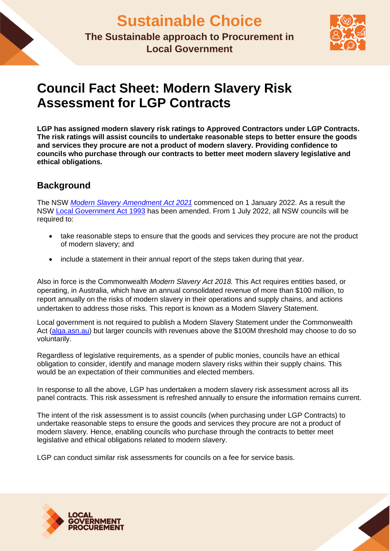**Local Government**

# **Council Fact Sheet: Modern Slavery Risk Assessment for LGP Contracts**

**LGP has assigned modern slavery risk ratings to Approved Contractors under LGP Contracts. The risk ratings will assist councils to undertake reasonable steps to better ensure the goods and services they procure are not a product of modern slavery. Providing confidence to councils who purchase through our contracts to better meet modern slavery legislative and ethical obligations.**

## **Background**

The NSW *[Modern Slavery Amendment Act](https://legislation.nsw.gov.au/view/pdf/asmade/act-2021-39) 2021* commenced on 1 January 2022. As a result the NSW [Local Government Act 1993](https://legislation.nsw.gov.au/view/html/inforce/2022-01-01/act-1993-030?query=VersionSeriesId%3D%2246253fce-10e1-4de8-a055-1aac46d5913f%22+AND+VersionDescId%3D%226a235321-8761-478f-8b0a-9a708045de39%22+AND+PrintType%3D%22act.reprint%22+AND+(VersionDescId%3D%226a235321-8761-478f-8b0a-9a708045de39%22+AND+VersionSeriesId%3D%2246253fce-10e1-4de8-a055-1aac46d5913f%22+AND+PrintType%3D%22act.reprint%22+AND+Content%3D(%22slavery%22))&dQuery=Document+Types%3D%22%3Cspan+class%3D%27dq-highlight%27%3EActs%3C%2Fspan%3E%2C+%3Cspan+class%3D%27dq-highlight%27%3ERegulations%3C%2Fspan%3E%2C+%3Cspan+class%3D%27dq-highlight%27%3EEPIs%3C%2Fspan%3E%22%2C+Search+In%3D%22%3Cspan+class%3D%27dq-highlight%27%3EAll+Content%3C%2Fspan%3E%22%2C+Exact+Phrase%3D%22%3Cspan+class%3D%27dq-highlight%27%3Eslavery%3C%2Fspan%3E%22%2C+Point+In+Time%3D%22%3Cspan+class%3D%27dq-highlight%27%3E01%2F01%2F2022%3C%2Fspan%3E%22#statusinformation) has been amended. From 1 July 2022, all NSW councils will be required to:

- take reasonable steps to ensure that the goods and services they procure are not the product of modern slavery; and
- include a statement in their annual report of the steps taken during that year.

Also in force is the Commonwealth *Modern Slavery Act 2018.* This Act requires entities based, or operating, in Australia, which have an annual consolidated revenue of more than \$100 million, to report annually on the risks of modern slavery in their operations and supply chains, and actions undertaken to address those risks. This report is known as a Modern Slavery Statement.

Local government is not required to publish a Modern Slavery Statement under the Commonwealth Act [\(alga.asn.au\)](https://alga.asn.au/local-government-exempt-from-modern-slavery-act-commonwealth/) but larger councils with revenues above the \$100M threshold may choose to do so voluntarily.

Regardless of legislative requirements, as a spender of public monies, councils have an ethical obligation to consider, identify and manage modern slavery risks within their supply chains. This would be an expectation of their communities and elected members.

In response to all the above, LGP has undertaken a modern slavery risk assessment across all its panel contracts. This risk assessment is refreshed annually to ensure the information remains current.

The intent of the risk assessment is to assist councils (when purchasing under LGP Contracts) to undertake reasonable steps to ensure the goods and services they procure are not a product of modern slavery. Hence, enabling councils who purchase through the contracts to better meet legislative and ethical obligations related to modern slavery.

LGP can conduct similar risk assessments for councils on a fee for service basis.



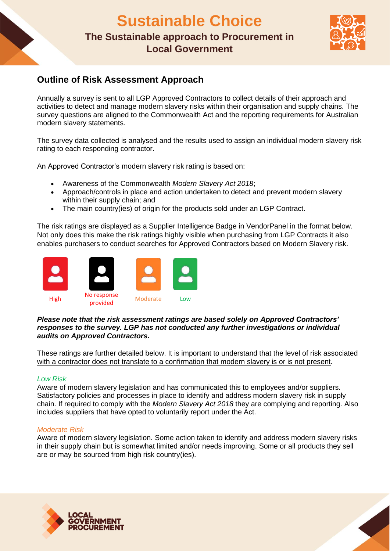## **Sustainable Choice The Sustainable approach to Procurement in Local Government**



## **Outline of Risk Assessment Approach**

Annually a survey is sent to all LGP Approved Contractors to collect details of their approach and activities to detect and manage modern slavery risks within their organisation and supply chains. The survey questions are aligned to the Commonwealth Act and the reporting requirements for Australian modern slavery statements.

The survey data collected is analysed and the results used to assign an individual modern slavery risk rating to each responding contractor.

An Approved Contractor's modern slavery risk rating is based on:

- Awareness of the Commonwealth *Modern Slavery Act 2018*;
- Approach/controls in place and action undertaken to detect and prevent modern slavery within their supply chain; and
- The main country(ies) of origin for the products sold under an LGP Contract.

The risk ratings are displayed as a Supplier Intelligence Badge in VendorPanel in the format below. Not only does this make the risk ratings highly visible when purchasing from LGP Contracts it also enables purchasers to conduct searches for Approved Contractors based on Modern Slavery risk.



*Please note that the risk assessment ratings are based solely on Approved Contractors' responses to the survey. LGP has not conducted any further investigations or individual audits on Approved Contractors.* 

These ratings are further detailed below. It is important to understand that the level of risk associated with a contractor does not translate to a confirmation that modern slavery is or is not present.

#### *Low Risk*

Aware of modern slavery legislation and has communicated this to employees and/or suppliers. Satisfactory policies and processes in place to identify and address modern slavery risk in supply chain. If required to comply with the *Modern Slavery Act 2018* they are complying and reporting. Also includes suppliers that have opted to voluntarily report under the Act.

#### *Moderate Risk*

Aware of modern slavery legislation. Some action taken to identify and address modern slavery risks in their supply chain but is somewhat limited and/or needs improving. Some or all products they sell are or may be sourced from high risk country(ies).



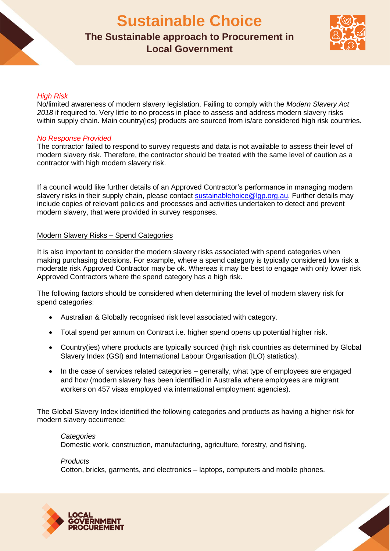# **Sustainable Choice**

## **The Sustainable approach to Procurement in Local Government**



#### *High Risk*

No/limited awareness of modern slavery legislation. Failing to comply with the *Modern Slavery Act 2018* if required to. Very little to no process in place to assess and address modern slavery risks within supply chain. Main country(ies) products are sourced from is/are considered high risk countries.

#### *No Response Provided*

The contractor failed to respond to survey requests and data is not available to assess their level of modern slavery risk. Therefore, the contractor should be treated with the same level of caution as a contractor with high modern slavery risk.

If a council would like further details of an Approved Contractor's performance in managing modern slavery risks in their supply chain, please contact [sustainablehoice@lgp.org.au.](mailto:sustainablehoice@lgp.org.au) Further details may include copies of relevant policies and processes and activities undertaken to detect and prevent modern slavery, that were provided in survey responses.

#### Modern Slavery Risks – Spend Categories

It is also important to consider the modern slavery risks associated with spend categories when making purchasing decisions. For example, where a spend category is typically considered low risk a moderate risk Approved Contractor may be ok. Whereas it may be best to engage with only lower risk Approved Contractors where the spend category has a high risk.

The following factors should be considered when determining the level of modern slavery risk for spend categories:

- Australian & Globally recognised risk level associated with category.
- Total spend per annum on Contract i.e. higher spend opens up potential higher risk.
- Country(ies) where products are typically sourced (high risk countries as determined by Global Slavery Index (GSI) and International Labour Organisation (ILO) statistics).
- In the case of services related categories generally, what type of employees are engaged and how (modern slavery has been identified in Australia where employees are migrant workers on 457 visas employed via international employment agencies).

The Global Slavery Index identified the following categories and products as having a higher risk for modern slavery occurrence:

#### *Categories*

Domestic work, construction, manufacturing, agriculture, forestry, and fishing.

#### *Products*

Cotton, bricks, garments, and electronics – laptops, computers and mobile phones.